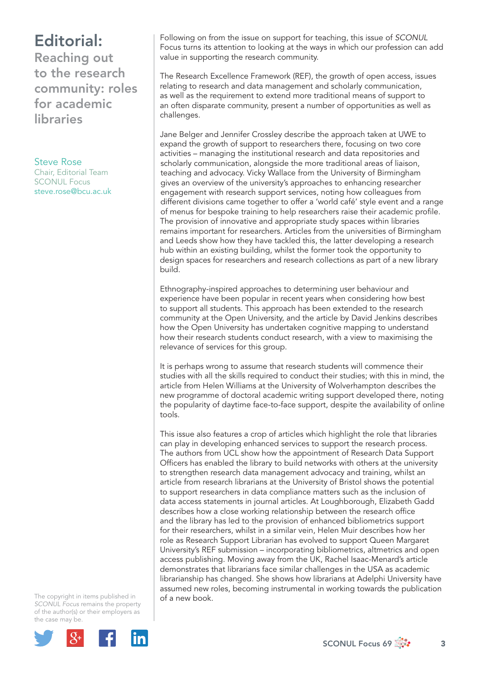## Editorial:

Reaching out to the research community: roles for academic libraries

Steve Rose Chair, Editorial Team SCONUL Focus steve.rose@bcu.ac.uk

Following on from the issue on support for teaching, this issue of *SCONUL*  Focus turns its attention to looking at the ways in which our profession can add value in supporting the research community.

The Research Excellence Framework (REF), the growth of open access, issues relating to research and data management and scholarly communication, as well as the requirement to extend more traditional means of support to an often disparate community, present a number of opportunities as well as challenges.

Jane Belger and Jennifer Crossley describe the approach taken at UWE to expand the growth of support to researchers there, focusing on two core activities – managing the institutional research and data repositories and scholarly communication, alongside the more traditional areas of liaison, teaching and advocacy. Vicky Wallace from the University of Birmingham gives an overview of the university's approaches to enhancing researcher engagement with research support services, noting how colleagues from different divisions came together to offer a 'world café' style event and a range of menus for bespoke training to help researchers raise their academic profile. The provision of innovative and appropriate study spaces within libraries remains important for researchers. Articles from the universities of Birmingham and Leeds show how they have tackled this, the latter developing a research hub within an existing building, whilst the former took the opportunity to design spaces for researchers and research collections as part of a new library build.

Ethnography-inspired approaches to determining user behaviour and experience have been popular in recent years when considering how best to support all students. This approach has been extended to the research community at the Open University, and the article by David Jenkins describes how the Open University has undertaken cognitive mapping to understand how their research students conduct research, with a view to maximising the relevance of services for this group.

It is perhaps wrong to assume that research students will commence their studies with all the skills required to conduct their studies; with this in mind, the article from Helen Williams at the University of Wolverhampton describes the new programme of doctoral academic writing support developed there, noting the popularity of daytime face-to-face support, despite the availability of online tools.

This issue also features a crop of articles which highlight the role that libraries can play in developing enhanced services to support the research process. The authors from UCL show how the appointment of Research Data Support Officers has enabled the library to build networks with others at the university to strengthen research data management advocacy and training, whilst an article from research librarians at the University of Bristol shows the potential to support researchers in data compliance matters such as the inclusion of data access statements in journal articles. At Loughborough, Elizabeth Gadd describes how a close working relationship between the research office and the library has led to the provision of enhanced bibliometrics support for their researchers, whilst in a similar vein, Helen Muir describes how her role as Research Support Librarian has evolved to support Queen Margaret University's REF submission – incorporating bibliometrics, altmetrics and open access publishing. Moving away from the UK, Rachel Isaac-Menard's article demonstrates that librarians face similar challenges in the USA as academic librarianship has changed. She shows how librarians at Adelphi University have assumed new roles, becoming instrumental in working towards the publication of a new book.

The copyright in items published in *SCONUL Focus* remains the property of the author(s) or their employers as the case may be.